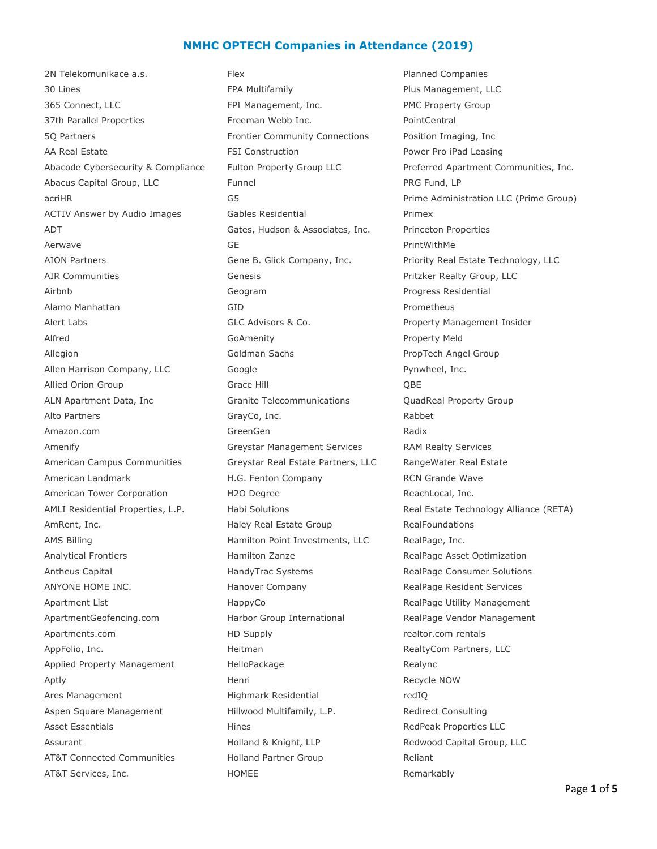## **NMHC OPTECH Companies in Attendance (2019)**

2N Telekomunikace a.s. The Real Planned Companies Planned Companies 30 Lines FPA Multifamily Plus Management, LLC 365 Connect, LLC FPI Management, Inc. PMC Property Group 37th Parallel Properties Freeman Webb Inc. PointCentral 5Q Partners Frontier Community Connections Position Imaging, Inc AA Real Estate **FILE CONSTRUCTER FILE CONSTRUCTER** Power Pro iPad Leasing Abacus Capital Group, LLC Funnel Funnel PRG Fund, LP ACTIV Answer by Audio Images Gables Residential Frimex ADT **Gates, Hudson & Associates, Inc.** Princeton Properties Aerwave and the CE GE of the PrintWithMe AION Partners Gene B. Glick Company, Inc. Priority Real Estate Technology, LLC AIR Communities Genesis Pritzker Realty Group, LLC Airbnb **Geogram** Geogram Progress Residential Alamo Manhattan GID Prometheus Alert Labs **GLC Advisors & Co.** Property Management Insider Alfred **GoAmenity** GoAmenity **Property Meld** Allegion **Allegion** Coldman Sachs **PropTech Angel Group** Allen Harrison Company, LLC Google Google Pynwheel, Inc. Allied Orion Group Grace Hill Grace Hill QBE ALN Apartment Data, Inc Granite Telecommunications QuadReal Property Group Alto Partners **GrayCo, Inc.** Communication Control of the Rabbet Rabbet Rabbet Rabbet Rabbet Rabbet Rabbet Rabbet Rabbet Rabbet Rabbet Rabbet Rabbet Rabbet Rabbet Rabbet Rabbet Rabbet Rabbet Rabbet Rabbet Rabbet Rabbet Rab Amazon.com **GreenGen** GreenGen Radix Amenify **Example 2** Greystar Management Services RAM Realty Services American Campus Communities Greystar Real Estate Partners, LLC RangeWater Real Estate American Landmark H.G. Fenton Company RCN Grande Wave American Tower Corporation **H2O Degree H2O Degree** ReachLocal, Inc. AmRent, Inc. **AmRent, Inc.** Haley Real Estate Group RealFoundations AMS Billing **Hamilton Point Investments, LLC** RealPage, Inc. Analytical Frontiers **Hamilton Zanze** Asset Optimization Analytical Frontiers RealPage Asset Optimization Antheus Capital **HandyTrac Systems** RealPage Consumer Solutions Capital Antheus Capital ANYONE HOME INC. The Manover Company Theorem RealPage Resident Services Apartment List The Communication HappyCo RealPage Utility Management ApartmentGeofencing.com **Harbor Group International** RealPage Vendor Management Apartments.com **HD Supply HD Supply realtor.com rentals** AppFolio, Inc. **All and Accommon Contract Heitman** AppFolio, Inc. **RealtyCom Partners, LLC** Applied Property Management FelloPackage FelloPackage Realync Aptly **Apticular Apticular Henri** Henri Henri Recycle NOW Ares Management **Ares Management Highmark Residential** redIQ Aspen Square Management Hillwood Multifamily, L.P. Redirect Consulting Asset Essentials **Asset Essentials** Hines **Hines** RedPeak Properties LLC Assurant The Holland & Knight, LLP Redwood Capital Group, LLC AT&T Connected Communities and Holland Partner Group and Reliant

AT&T Services, Inc. The Services of the HOMEE AT&T Services, Inc.

Abacode Cybersecurity & Compliance Fulton Property Group LLC Preferred Apartment Communities, Inc. acriHR G5 Prime Administration LLC (Prime Group) AMLI Residential Properties, L.P. habi Solutions Real Estate Technology Alliance (RETA)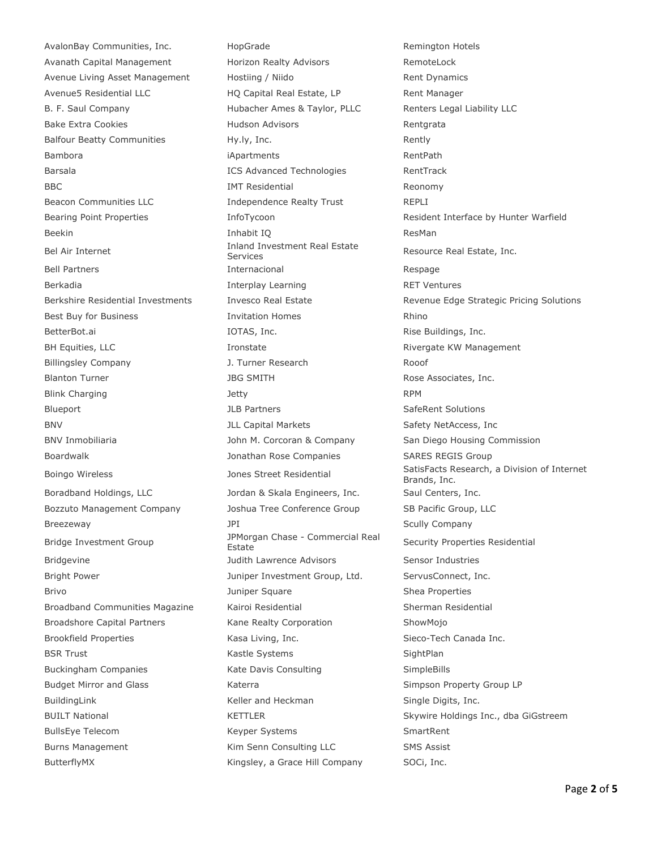AvalonBay Communities, Inc. HopGrade Remington Hotels Avanath Capital Management **Horizon Realty Advisors** RemoteLock Avenue Living Asset Management Hostiing / Niido Rent Dynamics Avenue5 Residential LLC 
HQ Capital Real Estate, LP
Rent Manager B. F. Saul Company **Hubacher Ames & Taylor, PLLC** Renters Legal Liability LLC Bake Extra Cookies **Rentiscus** Hudson Advisors **Rentgrata** Balfour Beatty Communities **Hy.ly, Inc.** The extention of the Rently Bambora **iApartments** iApartments RentPath Barsala **ICS Advanced Technologies** RentTrack BBC **IMT Residential** Reonomy Beacon Communities LLC **Independence Realty Trust** REPLI Beekin **Inhabit IQ Inhabit IQ** ResMan Bel Air Internet **Inland Investment Real Estate**<br>
Services Bell Partners **Internacional** Internacional Respage Berkadia Interplay Learning RET Ventures Best Buy for Business The Music Business Altimores and The Rhino Rhino Rhino Rhino BetterBot.ai **IOTAS, Inc.** IOTAS, Inc. Rise Buildings, Inc. BH Equities, LLC **Internal Constate** Rivergate KW Management Billingsley Company J. Turner Research Rooof Blanton Turner The Solution of the SMITH Rose Associates, Inc. Blink Charging **State Charging Community** Jetty **State Charging RPM** Blueport **SafeRent Solutions** JLB Partners **SafeRent Solutions** SafeRent Solutions BNV BOOK CALL Capital Markets Capital Markets Safety NetAccess, Inc BNV Inmobiliaria **M. Collact M. Corcoran & Company** San Diego Housing Commission Boardwalk **Same Companies** Jonathan Rose Companies SARES REGIS Group Boradband Holdings, LLC **Saul Centers, LLC** Jordan & Skala Engineers, Inc. Saul Centers, Inc. Bozzuto Management Company Joshua Tree Conference Group SB Pacific Group, LLC Breezeway **Scully Company** JPI **Scully Company** Scully Company Bridge Investment Group JPMorgan Chase - Commercial Real Bridgevine **Sensor Industries** Judith Lawrence Advisors Sensor Industries Bright Power **State Connect**, Inc. ServusConnect, Inc. ServusConnect, Inc. Brivo **Shea Properties** 3uniper Square 3unique Shea Properties Broadband Communities Magazine Kairoi Residential Sherman Residential Broadshore Capital Partners Kane Realty Corporation ShowMojo Brookfield Properties **Kasa Living, Inc.** Sieco-Tech Canada Inc. BSR Trust Contract Contract Contract Kastle Systems Contract Contract Contract Contract Contract Contract Contract Contract Contract Contract Contract Contract Contract Contract Contract Contract Contract Contract Contract Buckingham Companies 
SimpleBills  $\frac{1}{100}$   $\frac{1}{100}$   $\frac{1}{100}$   $\frac{1}{100}$   $\frac{1}{100}$   $\frac{1}{100}$   $\frac{1}{100}$   $\frac{1}{100}$   $\frac{1}{100}$   $\frac{1}{100}$   $\frac{1}{100}$   $\frac{1}{100}$   $\frac{1}{100}$   $\frac{1}{100}$   $\frac{1}{100}$   $\frac{1}{1$ Budget Mirror and Glass **Katerra Simpson Property Group LP** Simpson Property Group LP BuildingLink **Example 20 Find Heckman** Single Digits, Inc. BullsEye Telecom **Keyper Systems** SmartRent Burns Management **Kim Senn Consulting LLC** SMS Assist

ButterflyMX **Example 20 Telemany** Kingsley, a Grace Hill Company SOCi, Inc.

Bearing Point Properties **InfoTycoon** and *InfoTycoon* Resident Interface by Hunter Warfield Resource Real Estate, Inc. Berkshire Residential Investments Invesco Real Estate Revenue Edge Strategic Pricing Solutions Boingo Wireless **SatisFacts Research, a Division of Internet** SatisFacts Research, a Division of Internet Brands, Inc. Security Properties Residential BUILT National **Skywire Holdings Inc., dba GiGstreem** KETTLER Skywire Holdings Inc., dba GiGstreem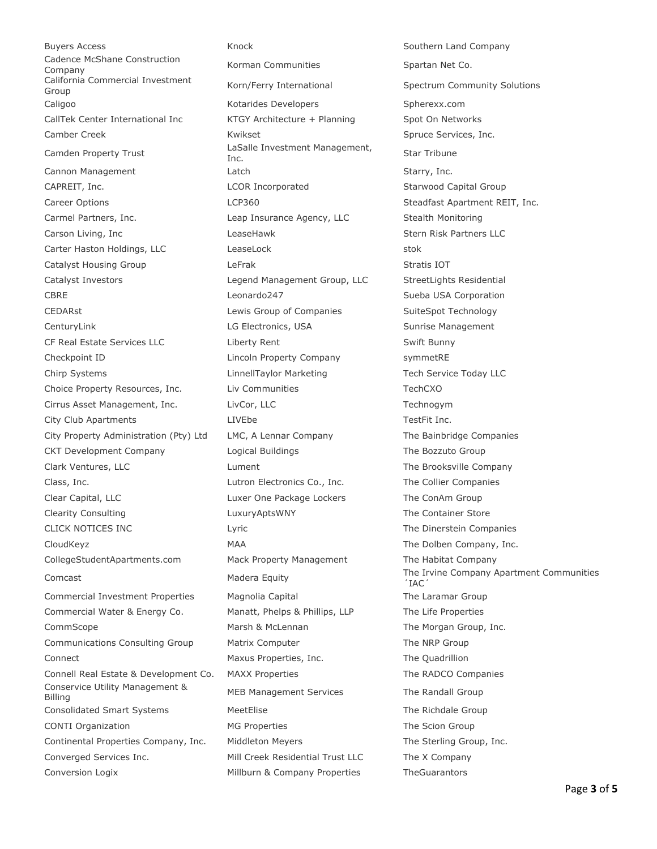Buyers Access **Knock Southern Land Company** Knock Southern Land Company Cadence McShane Construction Cadence Mushane Construction **Korman Communities** Spartan Net Co.<br>Company California Commercial Investment California Commercial Investment<br>Group Korn/Ferry International Spectrum Community Solutions Caligoo **Caligoo** Caligoo **Kotarides Developers** Spherexx.com CallTek Center International Inc KTGY Architecture + Planning Spot On Networks Camber Creek **Spruce Services, Inc.** Kwikset Spruce Services, Inc. Camden Property Trust LaSalle Investment Management, Cannon Management Latch Latch Starry, Inc. CAPREIT, Inc. The COR Incorporated CAPREIT, Inc. Starwood Capital Group Career Options **Steadfast Apartment REIT**, Inc. Carmel Partners, Inc. Leap Insurance Agency, LLC Stealth Monitoring Carson Living, Inc and LeaseHawk LeaseHawk Stern Risk Partners LLC Carter Haston Holdings, LLC LeaseLock stok Catalyst Housing Group **Catalyst Housing Group LeFrak** Stratis IOT Catalyst Investors Legend Management Group, LLC StreetLights Residential CBRE CBRE Leonardo247 CBRE Sueba USA Corporation CEDARst **Lewis Group of Companies** SuiteSpot Technology CenturyLink LG Electronics, USA Sunrise Management CF Real Estate Services LLC Liberty Rent Swift Bunny Checkpoint ID Lincoln Property Company symmetRE Chirp Systems LinnellTaylor Marketing Tech Service Today LLC Choice Property Resources, Inc. Liv Communities TechCXO Cirrus Asset Management, Inc. LivCor, LLC Technogym City Club Apartments **TestFit Inc.** LIVEbe **TestFit Inc.** TestFit Inc. City Property Administration (Pty) Ltd LMC, A Lennar Company The Bainbridge Companies CKT Development Company Logical Buildings The Bozzuto Group Clark Ventures, LLC Lument The Brooksville Company Class, Inc. Lutron Electronics Co., Inc. The Collier Companies Clear Capital, LLC Luxer One Package Lockers The ConAm Group Clearity Consulting LuxuryAptsWNY The Container Store CLICK NOTICES INC **Lyric** Lyric **CLICK** The Dinerstein Companies CloudKeyz **MAA** MAA The Dolben Company, Inc. CollegeStudentApartments.com Mack Property Management The Habitat Company Commercial Investment Properties Magnolia Capital The Laramar Group Commercial Water & Energy Co. Manatt, Phelps & Phillips, LLP The Life Properties CommScope The Morgan CommScope Marsh & McLennan The Morgan Group, Inc. Communications Consulting Group Matrix Computer The NRP Group Connect Maxus Properties, Inc. The Quadrillion Connell Real Estate & Development Co. MAXX Properties The RADCO Companies Conservice Utility Management & Edition of the Randall Group<br>Billing MEB Management Services The Randall Group Consolidated Smart Systems MeetElise The Richdale Group CONTI Organization The Scion Group MG Properties The Scion Group Continental Properties Company, Inc. Middleton Meyers The Sterling Group, Inc. Converged Services Inc. Mill Creek Residential Trust LLC The X Company

Star Tribune Comcast Company Apartment Communities ´IAC´ Conversion Logix Millburn & Company Properties TheGuarantors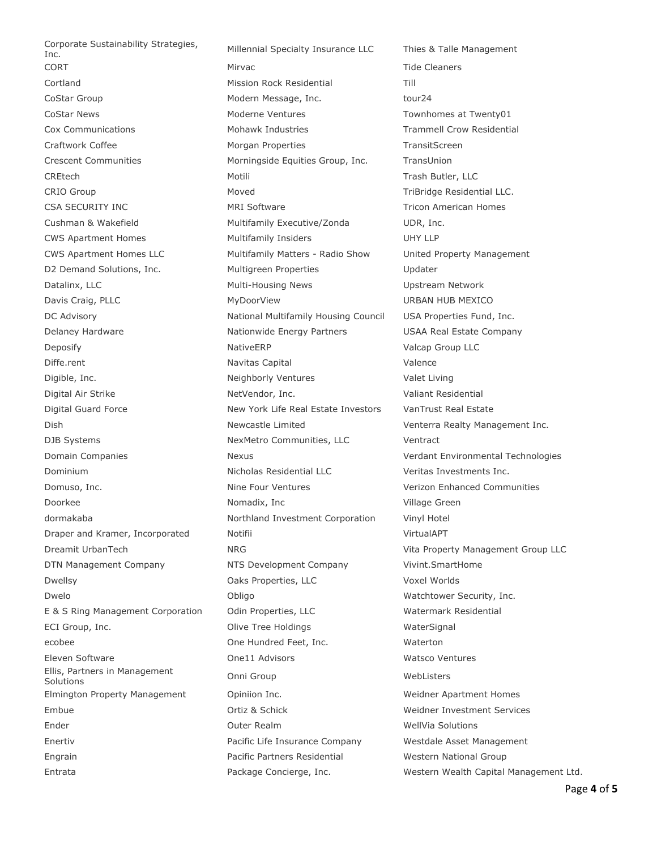Corporate Sustainability Strategies, Ellis, Partners in Management

Inc. Millennial Specialty Insurance LLC Thies & Talle Management CORT Mirvac Tide Cleaners Cortland Mission Rock Residential Till CoStar Group Costar Group Modern Message, Inc. The Modern Message, Inc. CoStar News **CoStar News** Moderne Ventures Townhomes at Twenty01 Cox Communications **Mohawk Industries** Trammell Crow Residential Craftwork Coffee **Morgan Properties** Morgan Properties TransitScreen Crescent Communities Morningside Equities Group, Inc. TransUnion CREtech Motili Trash Butler, LLC CRIO Group **CRIO Group CRIO CRIO CRIO Group** Moved **TriBridge Residential LLC.** CSA SECURITY INC **CONTRACT CONTRACT CONTRACT CONTRACT CONTRACT CONTRACT CONTRACT CONTRACT CONTRACT CONTRACT CONTRACT CONTRACT CONTRACT CONTRACT CONTRACT CONTRACT CONTRACT CONTRACT CONTRACT CONTRACT CONTRACT CONTRACT CONTRA** Cushman & Wakefield **Multifamily Executive/Zonda** UDR, Inc. CWS Apartment Homes Multifamily Insiders UHY LLP CWS Apartment Homes LLC Multifamily Matters - Radio Show United Property Management D2 Demand Solutions, Inc. 
Wultigreen Properties

Updater
Website Contact Multigreen

D2 Demand Solutions, Inc. Datalinx, LLC **Multi-Housing News** Upstream Network Davis Craig, PLLC **MyDoorView** MyDoorView URBAN HUB MEXICO DC Advisory **National Multifamily Housing Council USA Properties Fund, Inc.** DC Advisory Delaney Hardware **Nationwide Energy Partners** USAA Real Estate Company **Deposify NativeERP** Valcap Group LLC Diffe.rent **Navitas Capital** Valence Digible, Inc. Neighborly Ventures Valet Living Digital Air Strike NetVendor, Inc. Valiant Residential Digital Guard Force New York Life Real Estate Investors VanTrust Real Estate Dish Newcastle Limited Venterra Realty Management Inc. DJB Systems NexMetro Communities, LLC Ventract Domain Companies Nexus Verdant Environmental Technologies Dominium Nicholas Residential LLC Veritas Investments Inc. Domuso, Inc. Nine Four Ventures Verizon Enhanced Communities Doorkee Nomadix, Inc Nome Village Green dormakaba Northland Investment Corporation Vinyl Hotel Draper and Kramer, Incorporated Motifii Notifical Notifical VirtualAPT Dreamit UrbanTech NRG Vita Property Management Group LLC DTN Management Company NTS Development Company Vivint.SmartHome Dwellsy Oaks Properties, LLC Voxel Worlds Dwelo **Character Community** Obligo Character Character Watchtower Security, Inc. E & S Ring Management Corporation Odin Properties, LLC Watermark Residential ECI Group, Inc. **ECI Group, Inc.** Olive Tree Holdings and WaterSignal ecobee **One Hundred Feet, Inc.** Waterton Eleven Software One11 Advisors Watsco Ventures Embre of the Christian Christian Christian Christian Christian Medisters<br>Solutions Elmington Property Management Opiniion Inc. Weidner Apartment Homes Embue Ortiz & Schick Weidner Investment Services Ender Outer Realm WellVia Solutions Enertiv Pacific Life Insurance Company Westdale Asset Management Engrain Pacific Partners Residential Western National Group

Entrata Package Concierge, Inc. Western Wealth Capital Management Ltd.